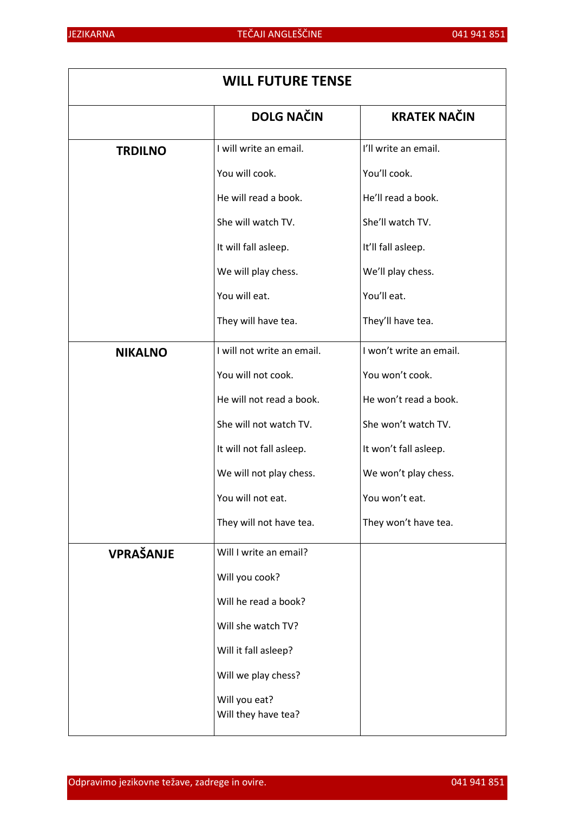| <b>WILL FUTURE TENSE</b> |                                      |                         |
|--------------------------|--------------------------------------|-------------------------|
|                          | <b>DOLG NAČIN</b>                    | <b>KRATEK NAČIN</b>     |
| <b>TRDILNO</b>           | I will write an email.               | I'll write an email.    |
|                          | You will cook.                       | You'll cook.            |
|                          | He will read a book.                 | He'll read a book.      |
|                          | She will watch TV.                   | She'll watch TV.        |
|                          | It will fall asleep.                 | It'll fall asleep.      |
|                          | We will play chess.                  | We'll play chess.       |
|                          | You will eat.                        | You'll eat.             |
|                          | They will have tea.                  | They'll have tea.       |
| <b>NIKALNO</b>           | I will not write an email.           | I won't write an email. |
|                          | You will not cook.                   | You won't cook.         |
|                          | He will not read a book.             | He won't read a book.   |
|                          | She will not watch TV.               | She won't watch TV.     |
|                          | It will not fall asleep.             | It won't fall asleep.   |
|                          | We will not play chess.              | We won't play chess.    |
|                          | You will not eat.                    | You won't eat.          |
|                          | They will not have tea.              | They won't have tea.    |
| VPRAŠANJE                | Will I write an email?               |                         |
|                          | Will you cook?                       |                         |
|                          | Will he read a book?                 |                         |
|                          | Will she watch TV?                   |                         |
|                          | Will it fall asleep?                 |                         |
|                          | Will we play chess?                  |                         |
|                          | Will you eat?<br>Will they have tea? |                         |